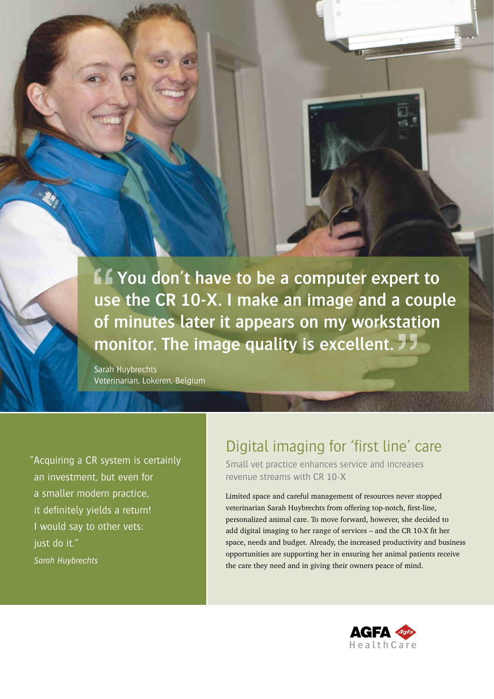*<u>f</u>* **You don't have to be a computer expert to use the CR 10-X. I make an image and a couple of minutes later it appears on my workstation monitor. The image quality is excellent.** 

Sarah Huybrechts Veterinarian, Lokeren, Belgium

"Acquiring a CR system is certainly an investment, but even for a smaller modern practice, it definitely yields a return! I would say to other vets: just do it." *Sarah Huybrechts*

CUSTOMER CASE

# Digital imaging for 'first line' care

Small vet practice enhances service and increases revenue streams with CR 10-X

Limited space and careful management of resources never stopped veterinarian Sarah Huybrechts from offering top-notch, first-line, personalized animal care. To move forward, however, she decided to add digital imaging to her range of services – and the CR 10-X fit her space, needs and budget. Already, the increased productivity and business opportunities are supporting her in ensuring her animal patients receive the care they need and in giving their owners peace of mind.